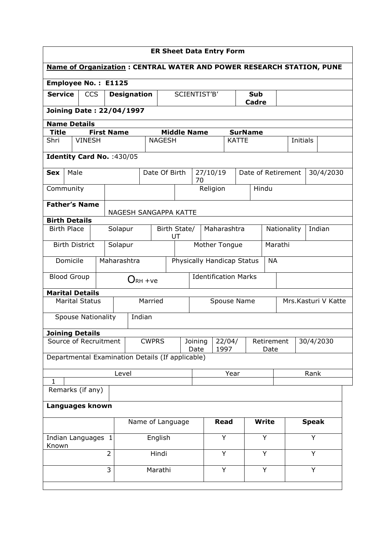| <b>ER Sheet Data Entry Form</b>  |                                                                             |  |                   |                                          |               |                                         |                                                         |                                            |             |                    |              |                     |              |           |
|----------------------------------|-----------------------------------------------------------------------------|--|-------------------|------------------------------------------|---------------|-----------------------------------------|---------------------------------------------------------|--------------------------------------------|-------------|--------------------|--------------|---------------------|--------------|-----------|
|                                  | <b>Name of Organization: CENTRAL WATER AND POWER RESEARCH STATION, PUNE</b> |  |                   |                                          |               |                                         |                                                         |                                            |             |                    |              |                     |              |           |
| <b>Employee No.: E1125</b>       |                                                                             |  |                   |                                          |               |                                         |                                                         |                                            |             |                    |              |                     |              |           |
|                                  | <b>CCS</b><br><b>Service</b><br><b>Designation</b>                          |  |                   |                                          |               |                                         |                                                         | SCIENTIST'B'<br><b>Sub</b><br><b>Cadre</b> |             |                    |              |                     |              |           |
| <b>Joining Date: 22/04/1997</b>  |                                                                             |  |                   |                                          |               |                                         |                                                         |                                            |             |                    |              |                     |              |           |
| <b>Name Details</b>              |                                                                             |  |                   |                                          |               |                                         |                                                         |                                            |             |                    |              |                     |              |           |
| <b>Title</b>                     |                                                                             |  | <b>First Name</b> |                                          |               | <b>Middle Name</b>                      |                                                         |                                            |             | <b>SurName</b>     |              |                     |              |           |
| Shri                             | <b>VINESH</b>                                                               |  |                   |                                          | <b>NAGESH</b> |                                         |                                                         |                                            |             | <b>KATTE</b>       |              |                     | Initials     |           |
| Identity Card No. : 430/05       |                                                                             |  |                   |                                          |               |                                         |                                                         |                                            |             |                    |              |                     |              |           |
| <b>Sex</b>                       | Male                                                                        |  |                   |                                          |               | Date Of Birth                           | 70                                                      | 27/10/19                                   |             | Date of Retirement |              |                     |              | 30/4/2030 |
| Community                        |                                                                             |  |                   |                                          |               |                                         |                                                         | Religion                                   |             |                    | Hindu        |                     |              |           |
| <b>Father's Name</b>             |                                                                             |  |                   |                                          |               | NAGESH SANGAPPA KATTE                   |                                                         |                                            |             |                    |              |                     |              |           |
| <b>Birth Details</b>             |                                                                             |  |                   |                                          |               |                                         |                                                         |                                            |             |                    |              |                     |              |           |
| <b>Birth Place</b>               |                                                                             |  | Solapur           |                                          |               | Birth State/<br>UT                      |                                                         |                                            | Maharashtra |                    |              | Nationality         |              | Indian    |
| <b>Birth District</b><br>Solapur |                                                                             |  |                   |                                          | Mother Tongue |                                         |                                                         |                                            |             | Marathi            |              |                     |              |           |
| Domicile                         |                                                                             |  | Maharashtra       |                                          |               | Physically Handicap Status<br><b>NA</b> |                                                         |                                            |             |                    |              |                     |              |           |
| <b>Blood Group</b>               |                                                                             |  |                   | $\mathrm{O}_{\mathrm{RH} + \mathrm{ve}}$ |               | <b>Identification Marks</b>             |                                                         |                                            |             |                    |              |                     |              |           |
|                                  | <b>Marital Details</b>                                                      |  |                   |                                          |               |                                         |                                                         |                                            |             |                    |              |                     |              |           |
|                                  | <b>Marital Status</b>                                                       |  |                   |                                          | Married       | Spouse Name                             |                                                         |                                            |             |                    |              | Mrs.Kasturi V Katte |              |           |
|                                  | <b>Spouse Nationality</b>                                                   |  |                   | Indian                                   |               |                                         |                                                         |                                            |             |                    |              |                     |              |           |
| <b>Joining Details</b>           |                                                                             |  |                   |                                          |               |                                         |                                                         |                                            |             |                    |              |                     |              |           |
|                                  | Source of Recruitment                                                       |  |                   |                                          | <b>CWPRS</b>  |                                         | Joining<br>22/04/<br>Retirement<br>1997<br>Date<br>Date |                                            |             |                    | 30/4/2030    |                     |              |           |
|                                  | Departmental Examination Details (If applicable)                            |  |                   |                                          |               |                                         |                                                         |                                            |             |                    |              |                     |              |           |
| $\mathbf{1}$                     |                                                                             |  | Level             |                                          |               |                                         |                                                         | Year                                       |             |                    |              | Rank                |              |           |
|                                  | Remarks (if any)                                                            |  |                   |                                          |               |                                         |                                                         |                                            |             |                    |              |                     |              |           |
| Languages known                  |                                                                             |  |                   |                                          |               |                                         |                                                         |                                            |             |                    |              |                     |              |           |
|                                  |                                                                             |  |                   |                                          |               | Name of Language                        |                                                         |                                            | <b>Read</b> |                    | <b>Write</b> |                     | <b>Speak</b> |           |
| Known                            | Indian Languages 1                                                          |  |                   |                                          | English       |                                         |                                                         |                                            | Y           |                    | Y            |                     | Y            |           |
|                                  |                                                                             |  | $\overline{2}$    |                                          | Hindi         |                                         |                                                         |                                            | Y           |                    | Y            |                     | Y            |           |
|                                  |                                                                             |  | 3                 |                                          | Marathi       |                                         |                                                         |                                            | Y           |                    | Y            |                     | Y            |           |
|                                  |                                                                             |  |                   |                                          |               |                                         |                                                         |                                            |             |                    |              |                     |              |           |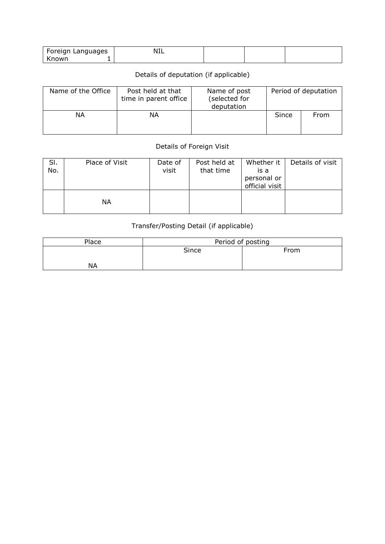| Foreign Languages | N<br>៶⊥∟ |  |  |
|-------------------|----------|--|--|
| .nown<br>--       |          |  |  |

## Details of deputation (if applicable)

| Name of the Office | Post held at that<br>time in parent office | Name of post<br>(selected for<br>deputation | Period of deputation |      |  |  |
|--------------------|--------------------------------------------|---------------------------------------------|----------------------|------|--|--|
| ΝA                 | ΝA                                         |                                             | Since                | From |  |  |

## Details of Foreign Visit

| SI.<br>No. | Place of Visit | Date of<br>visit | Post held at<br>that time | Whether it<br>is a<br>personal or<br>official visit | Details of visit |
|------------|----------------|------------------|---------------------------|-----------------------------------------------------|------------------|
|            | ΝA             |                  |                           |                                                     |                  |

## Transfer/Posting Detail (if applicable)

| Place | Period of posting |      |  |  |  |  |
|-------|-------------------|------|--|--|--|--|
|       | Since             | From |  |  |  |  |
| NΑ    |                   |      |  |  |  |  |